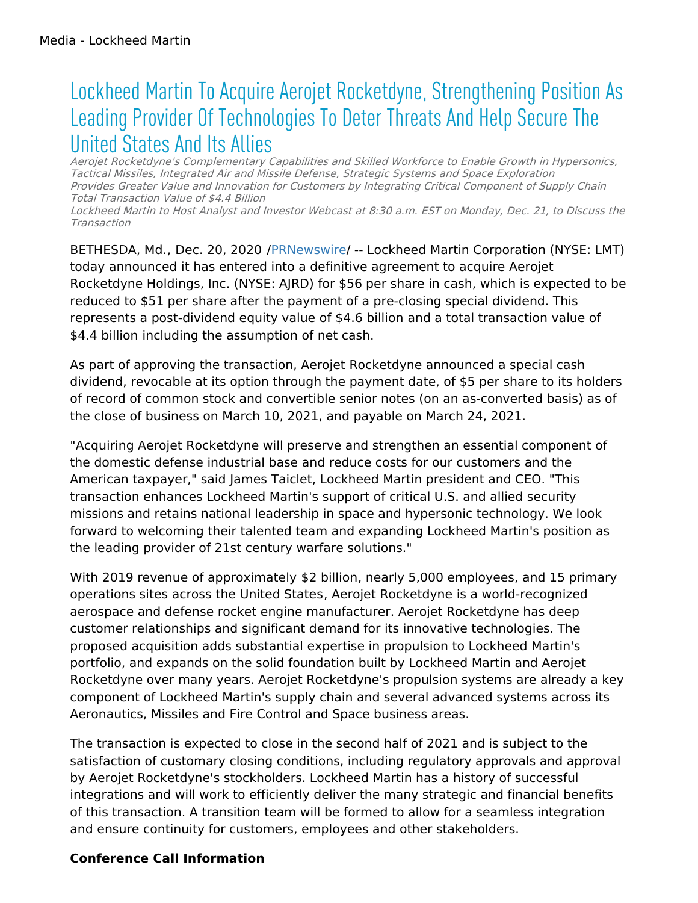## Lockheed Martin To Acquire Aerojet Rocketdyne, Strengthening Position As Leading Provider Of Technologies To Deter Threats And Help Secure The United States And Its Allies

Aerojet Rocketdyne's Complementary Capabilities and Skilled Workforce to Enable Growth in Hypersonics, Tactical Missiles, Integrated Air and Missile Defense, Strategic Systems and Space Exploration Provides Greater Value and Innovation for Customers by Integrating Critical Component of Supply Chain Total Transaction Value of \$4.4 Billion

Lockheed Martin to Host Analyst and Investor Webcast at 8:30 a.m. EST on Monday, Dec. 21, to Discuss the Transaction

BETHESDA, Md., Dec. 20, 2020 /*PRNewswire*/ -- Lockheed Martin Corporation (NYSE: LMT) today announced it has entered into a definitive agreement to acquire Aerojet Rocketdyne Holdings, Inc. (NYSE: AJRD) for \$56 per share in cash, which is expected to be reduced to \$51 per share after the payment of a pre-closing special dividend. This represents a post-dividend equity value of \$4.6 billion and a total transaction value of \$4.4 billion including the assumption of net cash.

As part of approving the transaction, Aerojet Rocketdyne announced a special cash dividend, revocable at its option through the payment date, of \$5 per share to its holders of record of common stock and convertible senior notes (on an as-converted basis) as of the close of business on March 10, 2021, and payable on March 24, 2021.

"Acquiring Aerojet Rocketdyne will preserve and strengthen an essential component of the domestic defense industrial base and reduce costs for our customers and the American taxpayer," said James Taiclet, Lockheed Martin president and CEO. "This transaction enhances Lockheed Martin's support of critical U.S. and allied security missions and retains national leadership in space and hypersonic technology. We look forward to welcoming their talented team and expanding Lockheed Martin's position as the leading provider of 21st century warfare solutions."

With 2019 revenue of approximately \$2 billion, nearly 5,000 employees, and 15 primary operations sites across the United States, Aerojet Rocketdyne is a world-recognized aerospace and defense rocket engine manufacturer. Aerojet Rocketdyne has deep customer relationships and significant demand for its innovative technologies. The proposed acquisition adds substantial expertise in propulsion to Lockheed Martin's portfolio, and expands on the solid foundation built by Lockheed Martin and Aerojet Rocketdyne over many years. Aerojet Rocketdyne's propulsion systems are already a key component of Lockheed Martin's supply chain and several advanced systems across its Aeronautics, Missiles and Fire Control and Space business areas.

The transaction is expected to close in the second half of 2021 and is subject to the satisfaction of customary closing conditions, including regulatory approvals and approval by Aerojet Rocketdyne's stockholders. Lockheed Martin has a history of successful integrations and will work to efficiently deliver the many strategic and financial benefits of this transaction. A transition team will be formed to allow for a seamless integration and ensure continuity for customers, employees and other stakeholders.

## **Conference Call Information**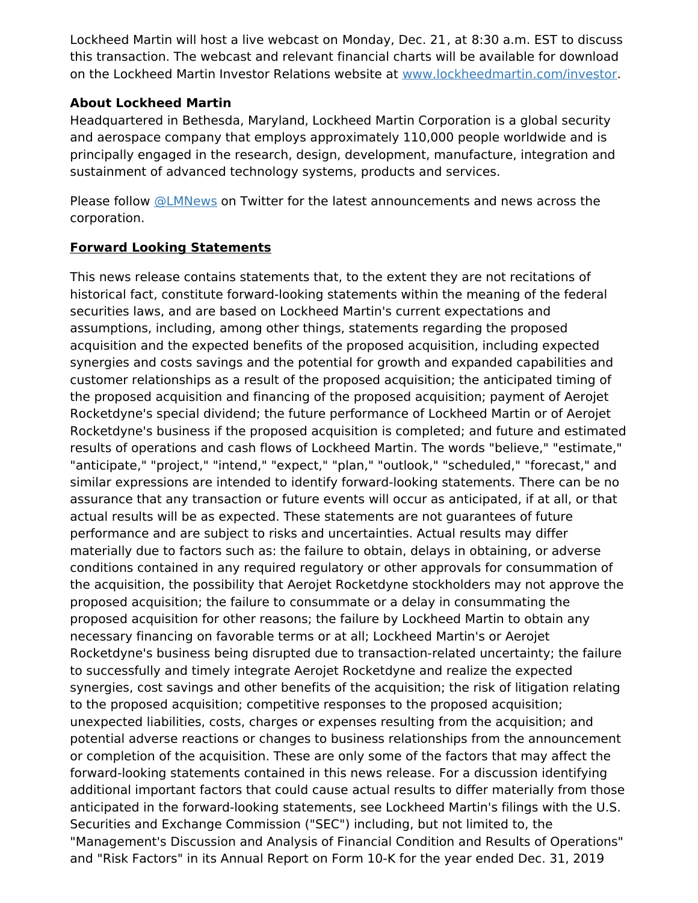Lockheed Martin will host a live webcast on Monday, Dec. 21, at 8:30 a.m. EST to discuss this transaction. The webcast and relevant financial charts will be available for download on the Lockheed Martin Investor Relations website at [www.lockheedmartin.com/investor](https://c212.net/c/link/?t=0&l=en&o=3019028-1&h=4050192074&u=http%3A%2F%2Fwww.lockheedmartin.com%2Finvestor&a=www.lockheedmartin.com%2Finvestor).

## **About Lockheed Martin**

Headquartered in Bethesda, Maryland, Lockheed Martin Corporation is a global security and aerospace company that employs approximately 110,000 people worldwide and is principally engaged in the research, design, development, manufacture, integration and sustainment of advanced technology systems, products and services.

Please follow [@LMNews](https://c212.net/c/link/?t=0&l=en&o=3019028-1&h=3460204796&u=https%3A%2F%2Ftwitter.com%2Flmnews&a=%40LMNews) on Twitter for the latest announcements and news across the corporation.

## **Forward Looking Statements**

This news release contains statements that, to the extent they are not recitations of historical fact, constitute forward-looking statements within the meaning of the federal securities laws, and are based on Lockheed Martin's current expectations and assumptions, including, among other things, statements regarding the proposed acquisition and the expected benefits of the proposed acquisition, including expected synergies and costs savings and the potential for growth and expanded capabilities and customer relationships as a result of the proposed acquisition; the anticipated timing of the proposed acquisition and financing of the proposed acquisition; payment of Aerojet Rocketdyne's special dividend; the future performance of Lockheed Martin or of Aerojet Rocketdyne's business if the proposed acquisition is completed; and future and estimated results of operations and cash flows of Lockheed Martin. The words "believe," "estimate," "anticipate," "project," "intend," "expect," "plan," "outlook," "scheduled," "forecast," and similar expressions are intended to identify forward-looking statements. There can be no assurance that any transaction or future events will occur as anticipated, if at all, or that actual results will be as expected. These statements are not guarantees of future performance and are subject to risks and uncertainties. Actual results may differ materially due to factors such as: the failure to obtain, delays in obtaining, or adverse conditions contained in any required regulatory or other approvals for consummation of the acquisition, the possibility that Aerojet Rocketdyne stockholders may not approve the proposed acquisition; the failure to consummate or a delay in consummating the proposed acquisition for other reasons; the failure by Lockheed Martin to obtain any necessary financing on favorable terms or at all; Lockheed Martin's or Aerojet Rocketdyne's business being disrupted due to transaction-related uncertainty; the failure to successfully and timely integrate Aerojet Rocketdyne and realize the expected synergies, cost savings and other benefits of the acquisition; the risk of litigation relating to the proposed acquisition; competitive responses to the proposed acquisition; unexpected liabilities, costs, charges or expenses resulting from the acquisition; and potential adverse reactions or changes to business relationships from the announcement or completion of the acquisition. These are only some of the factors that may affect the forward-looking statements contained in this news release. For a discussion identifying additional important factors that could cause actual results to differ materially from those anticipated in the forward-looking statements, see Lockheed Martin's filings with the U.S. Securities and Exchange Commission ("SEC") including, but not limited to, the "Management's Discussion and Analysis of Financial Condition and Results of Operations" and "Risk Factors" in its Annual Report on Form 10-K for the year ended Dec. 31, 2019